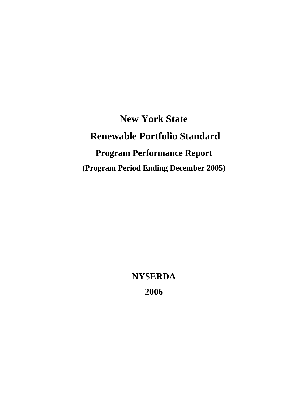**New York State Renewable Portfolio Standard Program Performance Report (Program Period Ending December 2005)** 

> **NYSERDA 2006**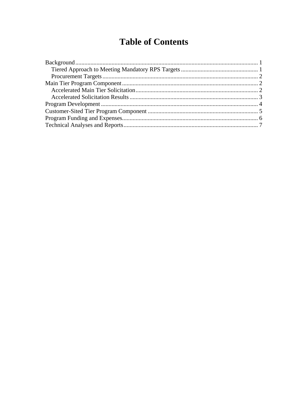# **Table of Contents**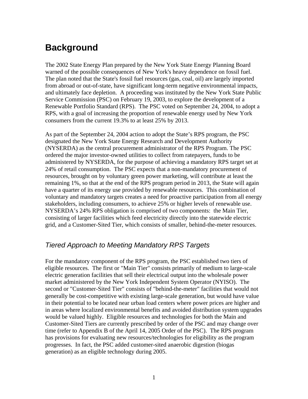# <span id="page-2-0"></span>**Background**

The 2002 State Energy Plan prepared by the New York State Energy Planning Board warned of the possible consequences of New York's heavy dependence on fossil fuel. The plan noted that the State's fossil fuel resources (gas, coal, oil) are largely imported from abroad or out-of-state, have significant long-term negative environmental impacts, and ultimately face depletion. A proceeding was instituted by the New York State Public Service Commission (PSC) on February 19, 2003, to explore the development of a Renewable Portfolio Standard (RPS). The PSC voted on September 24, 2004, to adopt a RPS, with a goal of increasing the proportion of renewable energy used by New York consumers from the current 19.3% to at least 25% by 2013.

As part of the September 24, 2004 action to adopt the State's RPS program, the PSC designated the New York State Energy Research and Development Authority (NYSERDA) as the central procurement administrator of the RPS Program. The PSC ordered the major investor-owned utilities to collect from ratepayers, funds to be administered by NYSERDA, for the purpose of achieving a mandatory RPS target set at 24% of retail consumption. The PSC expects that a non-mandatory procurement of resources, brought on by voluntary green power marketing, will contribute at least the remaining 1%, so that at the end of the RPS program period in 2013, the State will again have a quarter of its energy use provided by renewable resources. This combination of voluntary and mandatory targets creates a need for proactive participation from all energy stakeholders, including consumers, to achieve 25% or higher levels of renewable use. NYSERDA's 24% RPS obligation is comprised of two components: the Main Tier, consisting of larger facilities which feed electricity directly into the statewide electric grid, and a Customer-Sited Tier, which consists of smaller, behind-the-meter resources.

### *Tiered Approach to Meeting Mandatory RPS Targets*

For the mandatory component of the RPS program, the PSC established two tiers of eligible resources. The first or "Main Tier" consists primarily of medium to large-scale electric generation facilities that sell their electrical output into the wholesale power market administered by the New York Independent System Operator (NYISO). The second or "Customer-Sited Tier" consists of "behind-the-meter" facilities that would not generally be cost-competitive with existing large-scale generation, but would have value in their potential to be located near urban load centers where power prices are higher and in areas where localized environmental benefits and avoided distribution system upgrades would be valued highly. Eligible resources and technologies for both the Main and Customer-Sited Tiers are currently prescribed by order of the PSC and may change over time (refer to Appendix B of the April 14, 2005 Order of the PSC). The RPS program has provisions for evaluating new resources/technologies for eligibility as the program progresses. In fact, the PSC added customer-sited anaerobic digestion (biogas generation) as an eligible technology during 2005.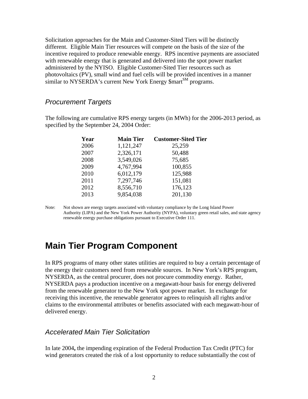<span id="page-3-0"></span>Solicitation approaches for the Main and Customer-Sited Tiers will be distinctly different. Eligible Main Tier resources will compete on the basis of the size of the incentive required to produce renewable energy. RPS incentive payments are associated with renewable energy that is generated and delivered into the spot power market administered by the NYISO. Eligible Customer-Sited Tier resources such as photovoltaics (PV), small wind and fuel cells will be provided incentives in a manner similar to NYSERDA's current New York Energy \$mart<sup>SM</sup> programs.

#### *Procurement Targets*

The following are cumulative RPS energy targets (in MWh) for the 2006-2013 period, as specified by the September 24, 2004 Order:

| Year | <b>Main Tier</b> | <b>Customer-Sited Tier</b> |
|------|------------------|----------------------------|
| 2006 | 1,121,247        | 25,259                     |
| 2007 | 2,326,171        | 50,488                     |
| 2008 | 3,549,026        | 75,685                     |
| 2009 | 4,767,994        | 100,855                    |
| 2010 | 6,012,179        | 125,988                    |
| 2011 | 7,297,746        | 151,081                    |
| 2012 | 8,556,710        | 176,123                    |
| 2013 | 9,854,038        | 201,130                    |

Note: Not shown are energy targets associated with voluntary compliance by the Long Island Power Authority (LIPA) and the New York Power Authority (NYPA), voluntary green retail sales, and state agency renewable energy purchase obligations pursuant to Executive Order 111.

### **Main Tier Program Component**

In RPS programs of many other states utilities are required to buy a certain percentage of the energy their customers need from renewable sources. In New York's RPS program, NYSERDA, as the central procurer, does not procure commodity energy. Rather, NYSERDA pays a production incentive on a megawatt-hour basis for energy delivered from the renewable generator to the New York spot power market. In exchange for receiving this incentive, the renewable generator agrees to relinquish all rights and/or claims to the environmental attributes or benefits associated with each megawatt-hour of delivered energy.

#### *Accelerated Main Tier Solicitation*

In late 2004**,** the impending expiration of the Federal Production Tax Credit (PTC) for wind generators created the risk of a lost opportunity to reduce substantially the cost of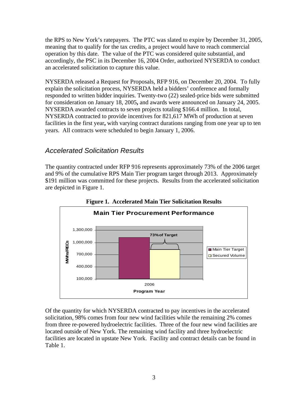<span id="page-4-0"></span>the RPS to New York's ratepayers. The PTC was slated to expire by December 31, 2005, meaning that to qualify for the tax credits, a project would have to reach commercial operation by this date. The value of the PTC was considered quite substantial, and accordingly, the PSC in its December 16, 2004 Order, authorized NYSERDA to conduct an accelerated solicitation to capture this value.

NYSERDA released a Request for Proposals, RFP 916, on December 20, 2004. To fully explain the solicitation process, NYSERDA held a bidders' conference and formally responded to written bidder inquiries. Twenty-two (22) sealed-price bids were submitted for consideration on January 18, 2005**,** and awards were announced on January 24, 2005. NYSERDA awarded contracts to seven projects totaling \$166.4 million. In total, NYSERDA contracted to provide incentives for 821,617 MWh of production at seven facilities in the first year**,** with varying contract durations ranging from one year up to ten years. All contracts were scheduled to begin January 1, 2006.

### *Accelerated Solicitation Results*

The quantity contracted under RFP 916 represents approximately 73% of the 2006 target and 9% of the cumulative RPS Main Tier program target through 2013. Approximately \$191 million was committed for these projects. Results from the accelerated solicitation are depicted in Figure 1.



**Figure 1. Accelerated Main Tier Solicitation Results** 

Of the quantity for which NYSERDA contracted to pay incentives in the accelerated solicitation, 98% comes from four new wind facilities while the remaining 2% comes from three re-powered hydroelectric facilities. Three of the four new wind facilities are located outside of New York. The remaining wind facility and three hydroelectric facilities are located in upstate New York. Facility and contract details can be found in Table 1.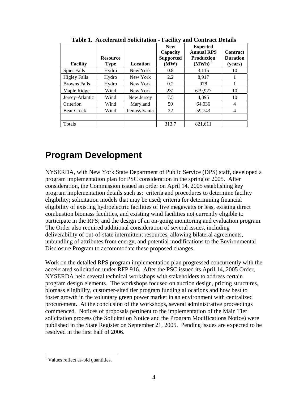<span id="page-5-0"></span>

| <b>Facility</b>     | <b>Resource</b><br><b>Type</b> | Location     | <b>New</b><br>Capacity<br><b>Supported</b><br>(MW) | <b>Expected</b><br><b>Annual RPS</b><br><b>Production</b><br>$(MWh)^1$ | <b>Contract</b><br><b>Duration</b><br>(years) |
|---------------------|--------------------------------|--------------|----------------------------------------------------|------------------------------------------------------------------------|-----------------------------------------------|
| <b>Spier Falls</b>  | Hydro                          | New York     | 0.8                                                | 3,115                                                                  | 10                                            |
| <b>Higley Falls</b> | Hydro                          | New York     | 2.2                                                | 8,917                                                                  |                                               |
| <b>Browns Falls</b> | Hydro                          | New York     | 0.2                                                | 978                                                                    |                                               |
| Maple Ridge         | Wind                           | New York     | 231                                                | 679,927                                                                | 10                                            |
| Jersey-Atlantic     | Wind                           | New Jersey   | 7.5                                                | 4.895                                                                  | 10                                            |
| Criterion           | Wind                           | Maryland     | 50                                                 | 64,036                                                                 | 4                                             |
| <b>Bear Creek</b>   | Wind                           | Pennsylvania | 22                                                 | 59.743                                                                 | 4                                             |
|                     |                                |              |                                                    |                                                                        |                                               |
| Totals              |                                |              | 313.7                                              | 821,611                                                                |                                               |

**Table 1. Accelerated Solicitation - Facility and Contract Details** 

## **Program Development**

NYSERDA, with New York State Department of Public Service (DPS) staff, developed a program implementation plan for PSC consideration in the spring of 2005. After consideration, the Commission issued an order on April 14, 2005 establishing key program implementation details such as: criteria and procedures to determine facility eligibility; solicitation models that may be used; criteria for determining financial eligibility of existing hydroelectric facilities of five megawatts or less, existing direct combustion biomass facilities, and existing wind facilities not currently eligible to participate in the RPS; and the design of an on-going monitoring and evaluation program. The Order also required additional consideration of several issues, including deliverability of out-of-state intermittent resources, allowing bilateral agreements, unbundling of attributes from energy, and potential modifications to the Environmental Disclosure Program to accommodate these proposed changes.

Work on the detailed RPS program implementation plan progressed concurrently with the accelerated solicitation under RFP 916. After the PSC issued its April 14, 2005 Order, NYSERDA held several technical workshops with stakeholders to address certain program design elements. The workshops focused on auction design, pricing structures, biomass eligibility, customer-sited tier program funding allocations and how best to foster growth in the voluntary green power market in an environment with centralized procurement. At the conclusion of the workshops, several administrative proceedings commenced. Notices of proposals pertinent to the implementation of the Main Tier solicitation process (the Solicitation Notice and the Program Modifications Notice) were published in the State Register on September 21, 2005. Pending issues are expected to be resolved in the first half of 2006.

 $\overline{a}$ 

<span id="page-5-1"></span><sup>&</sup>lt;sup>1</sup> Values reflect as-bid quantities.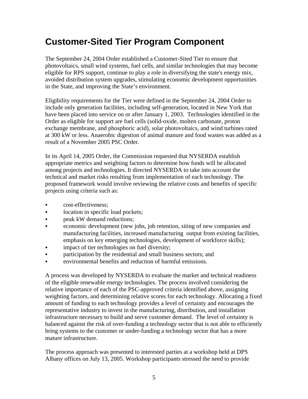# <span id="page-6-0"></span>**Customer-Sited Tier Program Component**

The September 24, 2004 Order established a Customer-Sited Tier to ensure that photovoltaics, small wind systems, fuel cells, and similar technologies that may become eligible for RPS support, continue to play a role in diversifying the state's energy mix, avoided distribution system upgrades, stimulating economic development opportunities in the State, and improving the State's environment.

Eligibility requirements for the Tier were defined in the September 24, 2004 Order to include only generation facilities, including self-generation, located in New York that have been placed into service on or after January 1, 2003. Technologies identified in the Order as eligible for support are fuel cells (solid-oxide, molten carbonate, proton exchange membrane, and phosphoric acid), solar photovoltaics, and wind turbines rated at 300 kW or less. Anaerobic digestion of animal manure and food wastes was added as a result of a November 2005 PSC Order.

In its April 14, 2005 Order, the Commission requested that NYSERDA establish appropriate metrics and weighting factors to determine how funds will be allocated among projects and technologies. It directed NYSERDA to take into account the technical and market risks resulting from implementation of each technology. The proposed framework would involve reviewing the relative costs and benefits of specific projects using criteria such as:

- cost-effectiveness:
- location in specific load pockets;
- peak kW demand reductions;
- economic development (new jobs, job retention, siting of new companies and manufacturing facilities, increased manufacturing output from existing facilities, emphasis on key emerging technologies, development of workforce skills);
- impact of tier technologies on fuel diversity;
- participation by the residential and small business sectors; and
- environmental benefits and reduction of harmful emissions.

A process was developed by NYSERDA to evaluate the market and technical readiness of the eligible renewable energy technologies. The process involved considering the relative importance of each of the PSC-approved criteria identified above, assigning weighting factors, and determining relative scores for each technology. Allocating a fixed amount of funding to each technology provides a level of certainty and encourages the representative industry to invest in the manufacturing, distribution, and installation infrastructure necessary to build and serve customer demand. The level of certainty is balanced against the risk of over-funding a technology sector that is not able to efficiently bring systems to the customer or under-funding a technology sector that has a more mature infrastructure.

The process approach was presented to interested parties at a workshop held at DPS Albany offices on July 13, 2005. Workshop participants stressed the need to provide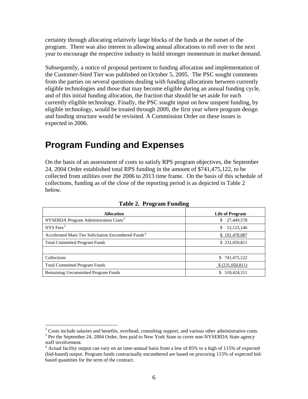<span id="page-7-0"></span>certainty through allocating relatively large blocks of the funds at the outset of the program. There was also interest in allowing annual allocations to roll over to the next year to encourage the respective industry to build stronger momentum in market demand.

Subsequently, a notice of proposal pertinent to funding allocation and implementation of the Customer-Sited Tier was published on October 5, 2005. The PSC sought comments from the parties on several questions dealing with funding allocations between currently eligible technologies and those that may become eligible during an annual funding cycle, and of this initial funding allocation, the fraction that should be set aside for each currently eligible technology. Finally, the PSC sought input on how unspent funding, by eligible technology, would be treated through 2009, the first year where program design and funding structure would be revisited. A Commission Order on these issues is expected in 2006.

## **Program Funding and Expenses**

On the basis of an assessment of costs to satisfy RPS program objectives, the September 24, 2004 Order established total RPS funding in the amount of \$741,475,122, to be collected from utilities over the 2006 to 2013 time frame. On the basis of this schedule of collections, funding as of the close of the reporting period is as depicted in Table 2 below.

| <b>Allocation</b>                                                | <b>Life of Program</b> |
|------------------------------------------------------------------|------------------------|
| NYSERDA Program Administration Costs <sup>2</sup>                | 27,449,578<br>\$.      |
| NYS Fees <sup>3</sup>                                            | 12, 123, 146           |
| Accelerated Main Tier Solicitation Encumbered Funds <sup>4</sup> | \$191,478,087          |
| <b>Total Committed Program Funds</b>                             | \$231,050,811          |
|                                                                  |                        |
| Collections                                                      | \$741,475,122          |
| <b>Total Committed Program Funds</b>                             | \$ (231,050,811)       |
| <b>Remaining Uncommitted Program Funds</b>                       | 510.424.311<br>\$      |

**Table 2. Program Funding** 

<span id="page-7-1"></span><sup>&</sup>lt;sup>2</sup> Costs include salaries and benefits, overhead, consulting support, and various other administrative costs.

<span id="page-7-2"></span><sup>&</sup>lt;sup>3</sup> Per the September 24, 2004 Order, fees paid to New York State to cover non-NYSERDA State agency staff involvement.<br><sup>4</sup> Actual facility output can vary on an inter-annual basis from a low of 85% to a high of 115% of expected

<span id="page-7-3"></span><sup>(</sup>bid-based) output. Program funds contractually encumbered are based on procuring 115% of expected bidbased quantities for the term of the contract.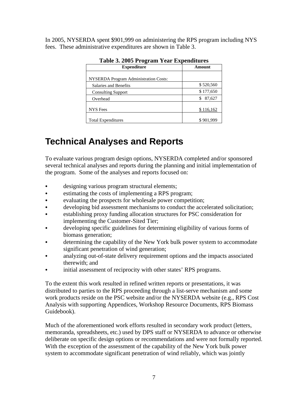<span id="page-8-0"></span>In 2005, NYSERDA spent \$901,999 on administering the RPS program including NYS fees. These administrative expenditures are shown in Table 3.

| <b>Expenditure</b>                           | Amount    |  |
|----------------------------------------------|-----------|--|
| <b>NYSERDA Program Administration Costs:</b> |           |  |
| Salaries and Benefits                        | \$520,560 |  |
| <b>Consulting Support</b>                    | \$177,650 |  |
| Overhead                                     | 87,627    |  |
| <b>NYS</b> Fees                              | \$116,162 |  |
| <b>Total Expenditures</b>                    | \$901,999 |  |

#### **Table 3. 2005 Program Year Expenditures**

## **Technical Analyses and Reports**

To evaluate various program design options, NYSERDA completed and/or sponsored several technical analyses and reports during the planning and initial implementation of the program. Some of the analyses and reports focused on:

- designing various program structural elements;
- estimating the costs of implementing a RPS program;
- evaluating the prospects for wholesale power competition;
- developing bid assessment mechanisms to conduct the accelerated solicitation;
- establishing proxy funding allocation structures for PSC consideration for implementing the Customer-Sited Tier;
- developing specific guidelines for determining eligibility of various forms of biomass generation;
- determining the capability of the New York bulk power system to accommodate significant penetration of wind generation;
- analyzing out-of-state delivery requirement options and the impacts associated therewith; and
- initial assessment of reciprocity with other states' RPS programs.

To the extent this work resulted in refined written reports or presentations, it was distributed to parties to the RPS proceeding through a list-serve mechanism and some work products reside on the PSC website and/or the NYSERDA website (e.g., RPS Cost Analysis with supporting Appendices, Workshop Resource Documents, RPS Biomass Guidebook).

Much of the aforementioned work efforts resulted in secondary work product (letters, memoranda, spreadsheets, etc.) used by DPS staff or NYSERDA to advance or otherwise deliberate on specific design options or recommendations and were not formally reported. With the exception of the assessment of the capability of the New York bulk power system to accommodate significant penetration of wind reliably, which was jointly